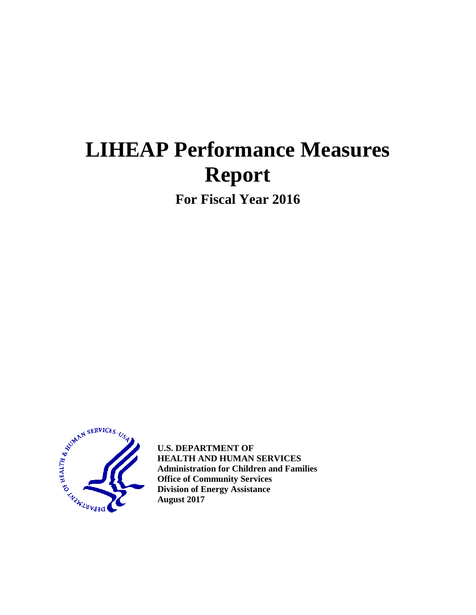# **LIHEAP Performance Measures Report**

**For Fiscal Year 2016** 



**U.S. DEPARTMENT OF HEALTH AND HUMAN SERVICES Administration for Children and Families Office of Community Services Division of Energy Assistance August 2017**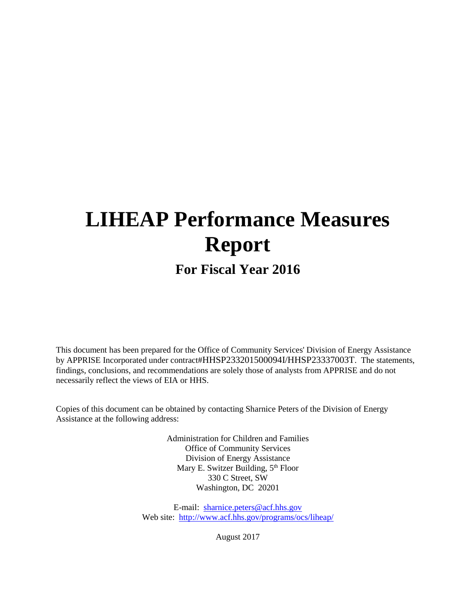# **LIHEAP Performance Measures Report**

# **For Fiscal Year 2016**

This document has been prepared for the Office of Community Services' Division of Energy Assistance by APPRISE Incorporated under contract#HHSP233201500094I/HHSP23337003T. The statements, findings, conclusions, and recommendations are solely those of analysts from APPRISE and do not necessarily reflect the views of EIA or HHS.

Copies of this document can be obtained by contacting Sharnice Peters of the Division of Energy Assistance at the following address:

> Administration for Children and Families Office of Community Services Division of Energy Assistance Mary E. Switzer Building, 5<sup>th</sup> Floor 330 C Street, SW Washington, DC 20201

E-mail: [sharnice.peters@acf.hhs.gov](mailto:peter.edelman@acf.hhs.gov) Web site: <http://www.acf.hhs.gov/programs/ocs/liheap/>

August 2017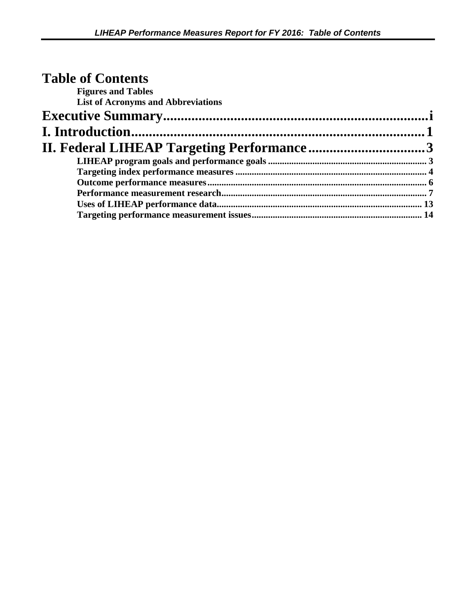| <b>Table of Contents</b>                  |  |
|-------------------------------------------|--|
| <b>Figures and Tables</b>                 |  |
| <b>List of Acronyms and Abbreviations</b> |  |
|                                           |  |
|                                           |  |
|                                           |  |
|                                           |  |
|                                           |  |
|                                           |  |
|                                           |  |
|                                           |  |
|                                           |  |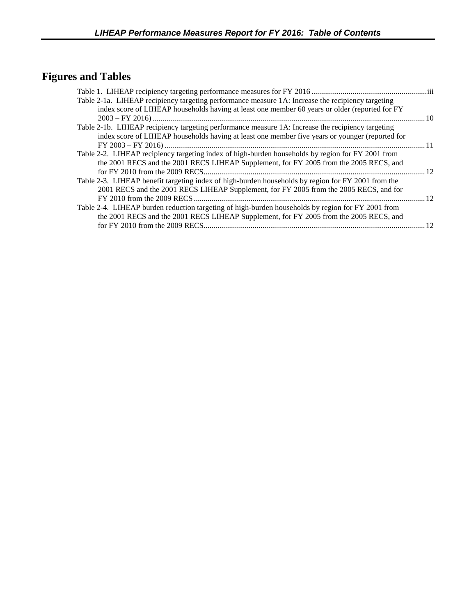# **Figures and Tables**

| 10   |
|------|
|      |
|      |
| - 11 |
|      |
|      |
| 12   |
|      |
|      |
| 12   |
|      |
|      |
| 12   |
|      |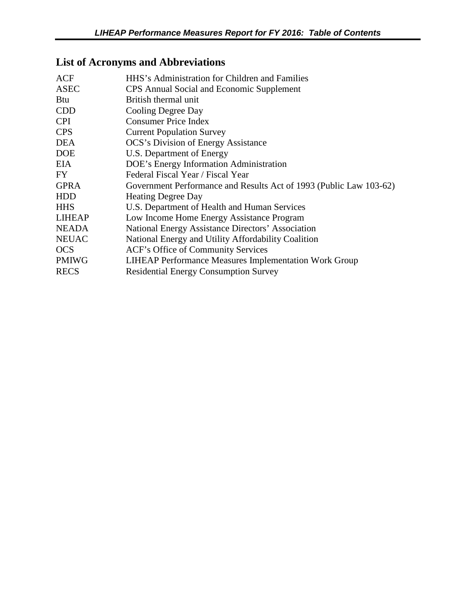# **List of Acronyms and Abbreviations**

| ACF           | HHS's Administration for Children and Families                     |
|---------------|--------------------------------------------------------------------|
| <b>ASEC</b>   | CPS Annual Social and Economic Supplement                          |
| <b>Btu</b>    | British thermal unit                                               |
| <b>CDD</b>    | Cooling Degree Day                                                 |
| <b>CPI</b>    | <b>Consumer Price Index</b>                                        |
| <b>CPS</b>    | <b>Current Population Survey</b>                                   |
| <b>DEA</b>    | <b>OCS's Division of Energy Assistance</b>                         |
| <b>DOE</b>    | U.S. Department of Energy                                          |
| EIA.          | DOE's Energy Information Administration                            |
| FY.           | Federal Fiscal Year / Fiscal Year                                  |
| <b>GPRA</b>   | Government Performance and Results Act of 1993 (Public Law 103-62) |
| <b>HDD</b>    | <b>Heating Degree Day</b>                                          |
| <b>HHS</b>    | U.S. Department of Health and Human Services                       |
| <b>LIHEAP</b> | Low Income Home Energy Assistance Program                          |
| <b>NEADA</b>  | National Energy Assistance Directors' Association                  |
| <b>NEUAC</b>  | National Energy and Utility Affordability Coalition                |
| <b>OCS</b>    | ACF's Office of Community Services                                 |
| <b>PMIWG</b>  | <b>LIHEAP Performance Measures Implementation Work Group</b>       |
| <b>RECS</b>   | <b>Residential Energy Consumption Survey</b>                       |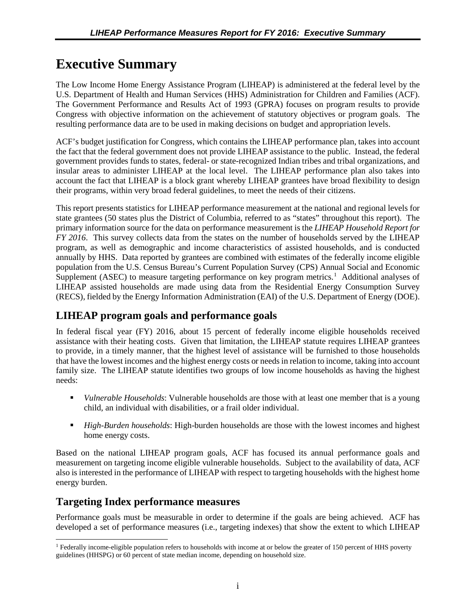# <span id="page-5-0"></span>**Executive Summary**

The Low Income Home Energy Assistance Program (LIHEAP) is administered at the federal level by the U.S. Department of Health and Human Services (HHS) Administration for Children and Families (ACF). The Government Performance and Results Act of 1993 (GPRA) focuses on program results to provide Congress with objective information on the achievement of statutory objectives or program goals. The resulting performance data are to be used in making decisions on budget and appropriation levels.

ACF's budget justification for Congress, which contains the LIHEAP performance plan, takes into account the fact that the federal government does not provide LIHEAP assistance to the public. Instead, the federal government provides funds to states, federal- or state-recognized Indian tribes and tribal organizations, and insular areas to administer LIHEAP at the local level. The LIHEAP performance plan also takes into account the fact that LIHEAP is a block grant whereby LIHEAP grantees have broad flexibility to design their programs, within very broad federal guidelines, to meet the needs of their citizens.

This report presents statistics for LIHEAP performance measurement at the national and regional levels for state grantees (50 states plus the District of Columbia, referred to as "states" throughout this report). The primary information source for the data on performance measurement is the *LIHEAP Household Report for FY 2016*. This survey collects data from the states on the number of households served by the LIHEAP program, as well as demographic and income characteristics of assisted households, and is conducted annually by HHS. Data reported by grantees are combined with estimates of the federally income eligible population from the U.S. Census Bureau's Current Population Survey (CPS) Annual Social and Economic Supplement (ASEC) to measure targeting performance on key program metrics.<sup>[1](#page-5-1)</sup> Additional analyses of LIHEAP assisted households are made using data from the Residential Energy Consumption Survey (RECS), fielded by the Energy Information Administration (EAI) of the U.S. Department of Energy (DOE).

# **LIHEAP program goals and performance goals**

In federal fiscal year (FY) 2016, about 15 percent of federally income eligible households received assistance with their heating costs. Given that limitation, the LIHEAP statute requires LIHEAP grantees to provide, in a timely manner, that the highest level of assistance will be furnished to those households that have the lowest incomes and the highest energy costs or needs in relation to income, taking into account family size. The LIHEAP statute identifies two groups of low income households as having the highest needs:

- *Vulnerable Households*: Vulnerable households are those with at least one member that is a young child, an individual with disabilities, or a frail older individual.
- *High-Burden households*: High-burden households are those with the lowest incomes and highest home energy costs.

Based on the national LIHEAP program goals, ACF has focused its annual performance goals and measurement on targeting income eligible vulnerable households. Subject to the availability of data, ACF also is interested in the performance of LIHEAP with respect to targeting households with the highest home energy burden.

### **Targeting Index performance measures**

Performance goals must be measurable in order to determine if the goals are being achieved. ACF has developed a set of performance measures (i.e., targeting indexes) that show the extent to which LIHEAP

<span id="page-5-1"></span><sup>&</sup>lt;sup>1</sup> Federally income-eligible population refers to households with income at or below the greater of 150 percent of HHS poverty guidelines (HHSPG) or 60 percent of state median income, depending on household size.  $\overline{a}$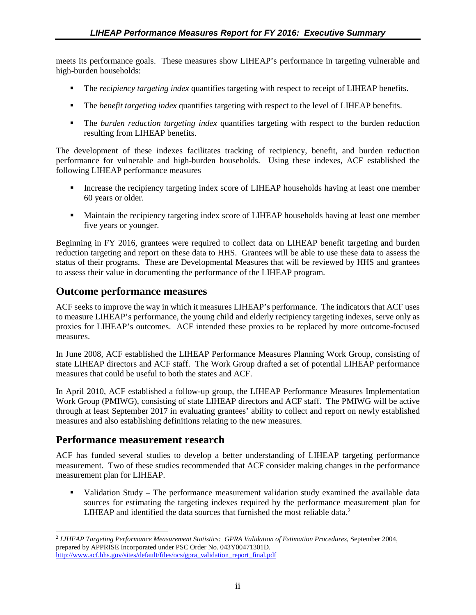meets its performance goals. These measures show LIHEAP's performance in targeting vulnerable and high-burden households:

- The *recipiency targeting index* quantifies targeting with respect to receipt of LIHEAP benefits.
- The *benefit targeting index* quantifies targeting with respect to the level of LIHEAP benefits.
- The *burden reduction targeting index* quantifies targeting with respect to the burden reduction resulting from LIHEAP benefits.

The development of these indexes facilitates tracking of recipiency, benefit, and burden reduction performance for vulnerable and high-burden households. Using these indexes, ACF established the following LIHEAP performance measures

- Increase the recipiency targeting index score of LIHEAP households having at least one member 60 years or older.
- **Maintain the recipiency targeting index score of LIHEAP households having at least one member** five years or younger.

Beginning in FY 2016, grantees were required to collect data on LIHEAP benefit targeting and burden reduction targeting and report on these data to HHS. Grantees will be able to use these data to assess the status of their programs. These are Developmental Measures that will be reviewed by HHS and grantees to assess their value in documenting the performance of the LIHEAP program.

## **Outcome performance measures**

ACF seeks to improve the way in which it measures LIHEAP's performance. The indicators that ACF uses to measure LIHEAP's performance, the young child and elderly recipiency targeting indexes, serve only as proxies for LIHEAP's outcomes. ACF intended these proxies to be replaced by more outcome-focused measures.

In June 2008, ACF established the LIHEAP Performance Measures Planning Work Group, consisting of state LIHEAP directors and ACF staff. The Work Group drafted a set of potential LIHEAP performance measures that could be useful to both the states and ACF.

In April 2010, ACF established a follow-up group, the LIHEAP Performance Measures Implementation Work Group (PMIWG), consisting of state LIHEAP directors and ACF staff. The PMIWG will be active through at least September 2017 in evaluating grantees' ability to collect and report on newly established measures and also establishing definitions relating to the new measures.

### **Performance measurement research**

ACF has funded several studies to develop a better understanding of LIHEAP targeting performance measurement. Two of these studies recommended that ACF consider making changes in the performance measurement plan for LIHEAP.

 Validation Study – The performance measurement validation study examined the available data sources for estimating the targeting indexes required by the performance measurement plan for LIHEAP and identified the data sources that furnished the most reliable data.<sup>[2](#page-6-0)</sup>

<span id="page-6-0"></span> $\overline{a}$ [http://www.acf.hhs.gov/sites/default/files/ocs/gpra\\_validation\\_report\\_final.pdf](http://www.acf.hhs.gov/sites/default/files/ocs/gpra_validation_report_final.pdf) <sup>2</sup> *LIHEAP Targeting Performance Measurement Statistics: GPRA Validation of Estimation Procedures*, September 2004, prepared by APPRISE Incorporated under PSC Order No. 043Y00471301D.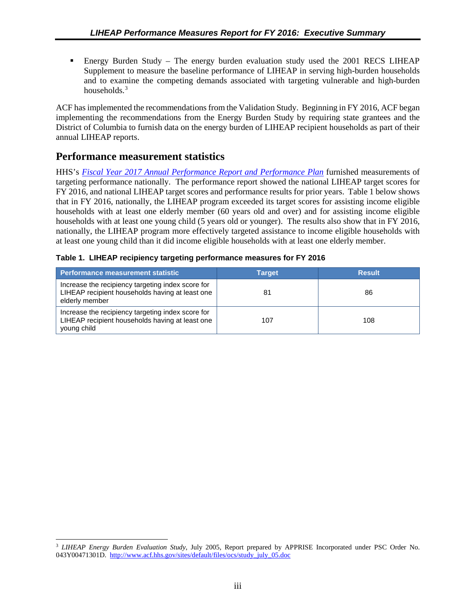<span id="page-7-0"></span> Energy Burden Study – The energy burden evaluation study used the 2001 RECS LIHEAP Supplement to measure the baseline performance of LIHEAP in serving high-burden households and to examine the competing demands associated with targeting vulnerable and high-burden households.<sup>[3](#page-7-1)</sup>

ACF has implemented the recommendations from the Validation Study. Beginning in FY 2016, ACF began implementing the recommendations from the Energy Burden Study by requiring state grantees and the District of Columbia to furnish data on the energy burden of LIHEAP recipient households as part of their annual LIHEAP reports.

### **Performance measurement statistics**

HHS's *[Fiscal Year 2017 Annual Performance Report and Performance Plan](http://www.hhs.gov/sites/default/files/fy2017-performance-plan_remediated.pdf)* furnished measurements of targeting performance nationally. The performance report showed the national LIHEAP target scores for FY 2016, and national LIHEAP target scores and performance results for prior years. Table 1 below shows that in FY 2016, nationally, the LIHEAP program exceeded its target scores for assisting income eligible households with at least one elderly member (60 years old and over) and for assisting income eligible households with at least one young child (5 years old or younger). The results also show that in FY 2016, nationally, the LIHEAP program more effectively targeted assistance to income eligible households with at least one young child than it did income eligible households with at least one elderly member.

|  |  |  |  | Table 1. LIHEAP recipiency targeting performance measures for FY 2016 |  |  |
|--|--|--|--|-----------------------------------------------------------------------|--|--|
|--|--|--|--|-----------------------------------------------------------------------|--|--|

| Performance measurement statistic                                                                                      | <b>Target</b> | <b>Result</b> |
|------------------------------------------------------------------------------------------------------------------------|---------------|---------------|
| Increase the recipiency targeting index score for<br>LIHEAP recipient households having at least one<br>elderly member | 81            | 86            |
| Increase the recipiency targeting index score for<br>LIHEAP recipient households having at least one<br>young child    | 107           | 108           |

<span id="page-7-1"></span><sup>3</sup> *LIHEAP Energy Burden Evaluation Study*, July 2005, Report prepared by APPRISE Incorporated under PSC Order No. 043Y00471301D. [http://www.acf.hhs.gov/sites/default/files/ocs/study\\_july\\_05.doc](http://www.acf.hhs.gov/sites/default/files/ocs/study_july_05.doc)  $\overline{a}$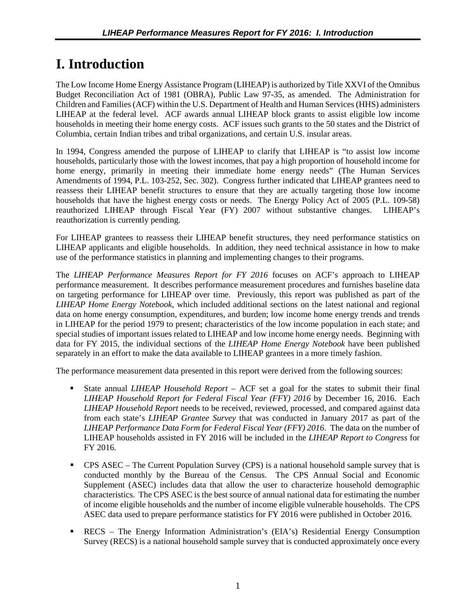# <span id="page-8-0"></span>**I. Introduction**

The Low Income Home Energy Assistance Program (LIHEAP) is authorized by Title XXVI of the Omnibus Budget Reconciliation Act of 1981 (OBRA), Public Law 97-35, as amended. The Administration for Children and Families (ACF) within the U.S. Department of Health and Human Services (HHS) administers LIHEAP at the federal level. ACF awards annual LIHEAP block grants to assist eligible low income households in meeting their home energy costs. ACF issues such grants to the 50 states and the District of Columbia, certain Indian tribes and tribal organizations, and certain U.S. insular areas.

In 1994, Congress amended the purpose of LIHEAP to clarify that LIHEAP is "to assist low income households, particularly those with the lowest incomes, that pay a high proportion of household income for home energy, primarily in meeting their immediate home energy needs" (The Human Services Amendments of 1994, P.L. 103-252, Sec. 302). Congress further indicated that LIHEAP grantees need to reassess their LIHEAP benefit structures to ensure that they are actually targeting those low income households that have the highest energy costs or needs. The Energy Policy Act of 2005 (P.L. 109-58) reauthorized LIHEAP through Fiscal Year (FY) 2007 without substantive changes. LIHEAP's reauthorization is currently pending.

For LIHEAP grantees to reassess their LIHEAP benefit structures, they need performance statistics on LIHEAP applicants and eligible households. In addition, they need technical assistance in how to make use of the performance statistics in planning and implementing changes to their programs.

The *LIHEAP Performance Measures Report for FY 2016* focuses on ACF's approach to LIHEAP performance measurement. It describes performance measurement procedures and furnishes baseline data on targeting performance for LIHEAP over time. Previously, this report was published as part of the *LIHEAP Home Energy Notebook*, which included additional sections on the latest national and regional data on home energy consumption, expenditures, and burden; low income home energy trends and trends in LIHEAP for the period 1979 to present; characteristics of the low income population in each state; and special studies of important issues related to LIHEAP and low income home energy needs. Beginning with data for FY 2015, the individual sections of the *LIHEAP Home Energy Notebook* have been published separately in an effort to make the data available to LIHEAP grantees in a more timely fashion.

The performance measurement data presented in this report were derived from the following sources:

- State annual *LIHEAP Household Report* ACF set a goal for the states to submit their final *LIHEAP Household Report for Federal Fiscal Year (FFY) 2016* by December 16, 2016. Each *LIHEAP Household Report* needs to be received, reviewed, processed, and compared against data from each state's *LIHEAP Grantee Survey* that was conducted in January 2017 as part of the *LIHEAP Performance Data Form for Federal Fiscal Year (FFY) 2016*. The data on the number of LIHEAP households assisted in FY 2016 will be included in the *LIHEAP Report to Congress* for FY 2016.
- CPS ASEC The Current Population Survey (CPS) is a national household sample survey that is conducted monthly by the Bureau of the Census. The CPS Annual Social and Economic Supplement (ASEC) includes data that allow the user to characterize household demographic characteristics. The CPS ASEC is the best source of annual national data for estimating the number of income eligible households and the number of income eligible vulnerable households. The CPS ASEC data used to prepare performance statistics for FY 2016 were published in October 2016.
- RECS The Energy Information Administration's (EIA's) Residential Energy Consumption Survey (RECS) is a national household sample survey that is conducted approximately once every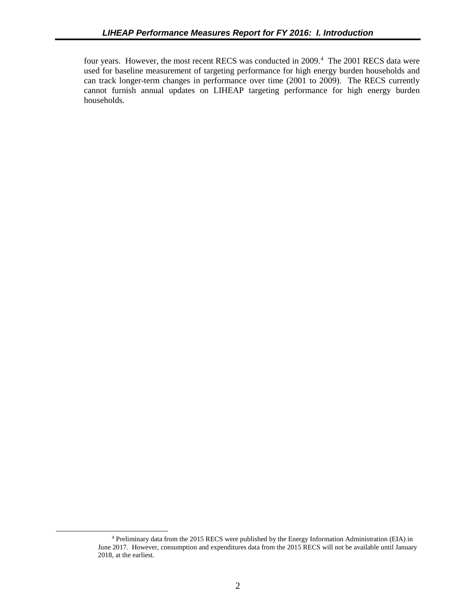four years. However, the most recent RECS was conducted in 2009.<sup>[4](#page-9-0)</sup> The 2001 RECS data were used for baseline measurement of targeting performance for high energy burden households and can track longer-term changes in performance over time (2001 to 2009). The RECS currently cannot furnish annual updates on LIHEAP targeting performance for high energy burden households.

<span id="page-9-0"></span> $\overline{a}$ 

<sup>4</sup> Preliminary data from the 2015 RECS were published by the Energy Information Administration (EIA) in June 2017. However, consumption and expenditures data from the 2015 RECS will not be available until January 2018, at the earliest.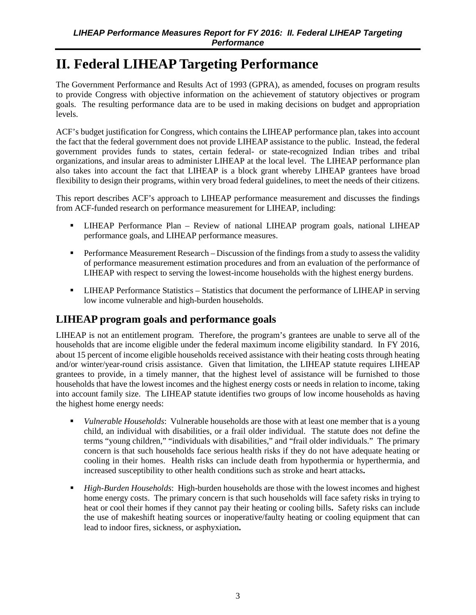# <span id="page-10-0"></span>**II. Federal LIHEAP Targeting Performance**

The Government Performance and Results Act of 1993 (GPRA), as amended, focuses on program results to provide Congress with objective information on the achievement of statutory objectives or program goals. The resulting performance data are to be used in making decisions on budget and appropriation levels.

ACF's budget justification for Congress, which contains the LIHEAP performance plan, takes into account the fact that the federal government does not provide LIHEAP assistance to the public. Instead, the federal government provides funds to states, certain federal- or state-recognized Indian tribes and tribal organizations, and insular areas to administer LIHEAP at the local level. The LIHEAP performance plan also takes into account the fact that LIHEAP is a block grant whereby LIHEAP grantees have broad flexibility to design their programs, within very broad federal guidelines, to meet the needs of their citizens.

This report describes ACF's approach to LIHEAP performance measurement and discusses the findings from ACF-funded research on performance measurement for LIHEAP, including:

- LIHEAP Performance Plan Review of national LIHEAP program goals, national LIHEAP performance goals, and LIHEAP performance measures.
- **Performance Measurement Research Discussion of the findings from a study to assess the validity** of performance measurement estimation procedures and from an evaluation of the performance of LIHEAP with respect to serving the lowest-income households with the highest energy burdens.
- **-** LIHEAP Performance Statistics Statistics that document the performance of LIHEAP in serving low income vulnerable and high-burden households.

# **LIHEAP program goals and performance goals**

LIHEAP is not an entitlement program. Therefore, the program's grantees are unable to serve all of the households that are income eligible under the federal maximum income eligibility standard. In FY 2016, about 15 percent of income eligible households received assistance with their heating costs through heating and/or winter/year-round crisis assistance. Given that limitation, the LIHEAP statute requires LIHEAP grantees to provide, in a timely manner, that the highest level of assistance will be furnished to those households that have the lowest incomes and the highest energy costs or needs in relation to income, taking into account family size. The LIHEAP statute identifies two groups of low income households as having the highest home energy needs:

- *Vulnerable Households*: Vulnerable households are those with at least one member that is a young child, an individual with disabilities, or a frail older individual. The statute does not define the terms "young children," "individuals with disabilities," and "frail older individuals." The primary concern is that such households face serious health risks if they do not have adequate heating or cooling in their homes. Health risks can include death from hypothermia or hyperthermia, and increased susceptibility to other health conditions such as stroke and heart attacks**.**
- *High-Burden Households*: High-burden households are those with the lowest incomes and highest home energy costs. The primary concern is that such households will face safety risks in trying to heat or cool their homes if they cannot pay their heating or cooling bills**.** Safety risks can include the use of makeshift heating sources or inoperative/faulty heating or cooling equipment that can lead to indoor fires, sickness, or asphyxiation**.**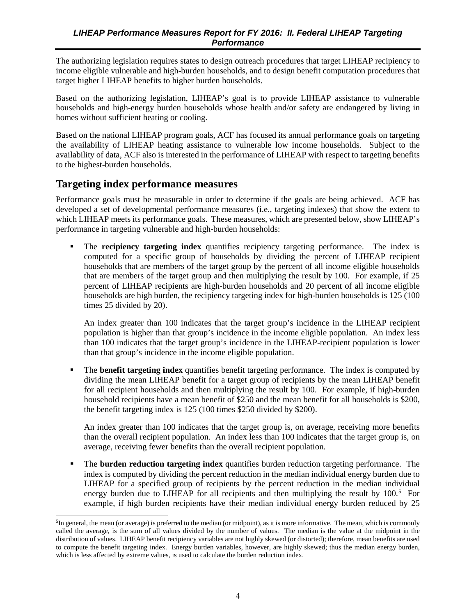<span id="page-11-0"></span>The authorizing legislation requires states to design outreach procedures that target LIHEAP recipiency to income eligible vulnerable and high-burden households, and to design benefit computation procedures that target higher LIHEAP benefits to higher burden households.

Based on the authorizing legislation, LIHEAP's goal is to provide LIHEAP assistance to vulnerable households and high-energy burden households whose health and/or safety are endangered by living in homes without sufficient heating or cooling.

Based on the national LIHEAP program goals, ACF has focused its annual performance goals on targeting the availability of LIHEAP heating assistance to vulnerable low income households. Subject to the availability of data, ACF also is interested in the performance of LIHEAP with respect to targeting benefits to the highest-burden households.

#### **Targeting index performance measures**

 $\overline{a}$ 

Performance goals must be measurable in order to determine if the goals are being achieved. ACF has developed a set of developmental performance measures (i.e., targeting indexes) that show the extent to which LIHEAP meets its performance goals. These measures, which are presented below, show LIHEAP's performance in targeting vulnerable and high-burden households:

 The **recipiency targeting index** quantifies recipiency targeting performance. The index is computed for a specific group of households by dividing the percent of LIHEAP recipient households that are members of the target group by the percent of all income eligible households that are members of the target group and then multiplying the result by 100. For example, if 25 percent of LIHEAP recipients are high-burden households and 20 percent of all income eligible households are high burden, the recipiency targeting index for high-burden households is 125 (100 times 25 divided by 20).

An index greater than 100 indicates that the target group's incidence in the LIHEAP recipient population is higher than that group's incidence in the income eligible population. An index less than 100 indicates that the target group's incidence in the LIHEAP-recipient population is lower than that group's incidence in the income eligible population.

 The **benefit targeting index** quantifies benefit targeting performance. The index is computed by dividing the mean LIHEAP benefit for a target group of recipients by the mean LIHEAP benefit for all recipient households and then multiplying the result by 100. For example, if high-burden household recipients have a mean benefit of \$250 and the mean benefit for all households is \$200, the benefit targeting index is 125 (100 times \$250 divided by \$200).

An index greater than 100 indicates that the target group is, on average, receiving more benefits than the overall recipient population. An index less than 100 indicates that the target group is, on average, receiving fewer benefits than the overall recipient population.

 The **burden reduction targeting index** quantifies burden reduction targeting performance. The index is computed by dividing the percent reduction in the median individual energy burden due to LIHEAP for a specified group of recipients by the percent reduction in the median individual energy burden due to LIHEAP for all recipients and then multiplying the result by 100.<sup>[5](#page-11-1)</sup> For example, if high burden recipients have their median individual energy burden reduced by 25

<span id="page-11-1"></span> ${}^{5}$ In general, the mean (or average) is preferred to the median (or midpoint), as it is more informative. The mean, which is commonly called the average, is the sum of all values divided by the number of values. The median is the value at the midpoint in the distribution of values. LIHEAP benefit recipiency variables are not highly skewed (or distorted); therefore, mean benefits are used to compute the benefit targeting index. Energy burden variables, however, are highly skewed; thus the median energy burden, which is less affected by extreme values, is used to calculate the burden reduction index.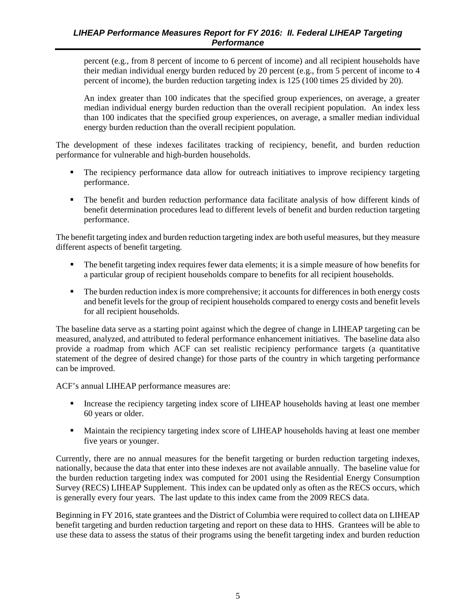percent (e.g., from 8 percent of income to 6 percent of income) and all recipient households have their median individual energy burden reduced by 20 percent (e.g., from 5 percent of income to 4 percent of income), the burden reduction targeting index is 125 (100 times 25 divided by 20).

An index greater than 100 indicates that the specified group experiences, on average, a greater median individual energy burden reduction than the overall recipient population. An index less than 100 indicates that the specified group experiences, on average, a smaller median individual energy burden reduction than the overall recipient population.

The development of these indexes facilitates tracking of recipiency, benefit, and burden reduction performance for vulnerable and high-burden households.

- The recipiency performance data allow for outreach initiatives to improve recipiency targeting performance.
- The benefit and burden reduction performance data facilitate analysis of how different kinds of benefit determination procedures lead to different levels of benefit and burden reduction targeting performance.

The benefit targeting index and burden reduction targeting index are both useful measures, but they measure different aspects of benefit targeting.

- The benefit targeting index requires fewer data elements; it is a simple measure of how benefits for a particular group of recipient households compare to benefits for all recipient households.
- The burden reduction index is more comprehensive; it accounts for differences in both energy costs and benefit levels for the group of recipient households compared to energy costs and benefit levels for all recipient households.

The baseline data serve as a starting point against which the degree of change in LIHEAP targeting can be measured, analyzed, and attributed to federal performance enhancement initiatives. The baseline data also provide a roadmap from which ACF can set realistic recipiency performance targets (a quantitative statement of the degree of desired change) for those parts of the country in which targeting performance can be improved.

ACF's annual LIHEAP performance measures are:

- Increase the recipiency targeting index score of LIHEAP households having at least one member 60 years or older.
- **Maintain the recipiency targeting index score of LIHEAP households having at least one member** five years or younger.

Currently, there are no annual measures for the benefit targeting or burden reduction targeting indexes, nationally, because the data that enter into these indexes are not available annually. The baseline value for the burden reduction targeting index was computed for 2001 using the Residential Energy Consumption Survey (RECS) LIHEAP Supplement. This index can be updated only as often as the RECS occurs, which is generally every four years. The last update to this index came from the 2009 RECS data.

Beginning in FY 2016, state grantees and the District of Columbia were required to collect data on LIHEAP benefit targeting and burden reduction targeting and report on these data to HHS. Grantees will be able to use these data to assess the status of their programs using the benefit targeting index and burden reduction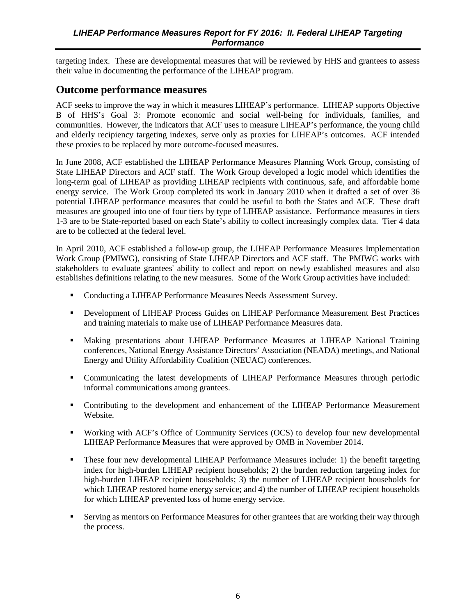<span id="page-13-0"></span>targeting index. These are developmental measures that will be reviewed by HHS and grantees to assess their value in documenting the performance of the LIHEAP program.

#### **Outcome performance measures**

ACF seeks to improve the way in which it measures LIHEAP's performance. LIHEAP supports Objective B of HHS's Goal 3: Promote economic and social well-being for individuals, families, and communities. However, the indicators that ACF uses to measure LIHEAP's performance, the young child and elderly recipiency targeting indexes, serve only as proxies for LIHEAP's outcomes. ACF intended these proxies to be replaced by more outcome-focused measures.

In June 2008, ACF established the LIHEAP Performance Measures Planning Work Group, consisting of State LIHEAP Directors and ACF staff. The Work Group developed a logic model which identifies the long-term goal of LIHEAP as providing LIHEAP recipients with continuous, safe, and affordable home energy service. The Work Group completed its work in January 2010 when it drafted a set of over 36 potential LIHEAP performance measures that could be useful to both the States and ACF. These draft measures are grouped into one of four tiers by type of LIHEAP assistance. Performance measures in tiers 1-3 are to be State-reported based on each State's ability to collect increasingly complex data. Tier 4 data are to be collected at the federal level.

In April 2010, ACF established a follow-up group, the LIHEAP Performance Measures Implementation Work Group (PMIWG), consisting of State LIHEAP Directors and ACF staff. The PMIWG works with stakeholders to evaluate grantees' ability to collect and report on newly established measures and also establishes definitions relating to the new measures. Some of the Work Group activities have included:

- Conducting a LIHEAP Performance Measures Needs Assessment Survey.
- Development of LIHEAP Process Guides on LIHEAP Performance Measurement Best Practices and training materials to make use of LIHEAP Performance Measures data.
- Making presentations about LHIEAP Performance Measures at LIHEAP National Training conferences, National Energy Assistance Directors' Association (NEADA) meetings, and National Energy and Utility Affordability Coalition (NEUAC) conferences.
- Communicating the latest developments of LIHEAP Performance Measures through periodic informal communications among grantees.
- Contributing to the development and enhancement of the LIHEAP Performance Measurement Website.
- Working with ACF's Office of Community Services (OCS) to develop four new developmental LIHEAP Performance Measures that were approved by OMB in November 2014.
- These four new developmental LIHEAP Performance Measures include: 1) the benefit targeting index for high-burden LIHEAP recipient households; 2) the burden reduction targeting index for high-burden LIHEAP recipient households; 3) the number of LIHEAP recipient households for which LIHEAP restored home energy service; and 4) the number of LIHEAP recipient households for which LIHEAP prevented loss of home energy service.
- Serving as mentors on Performance Measures for other grantees that are working their way through the process.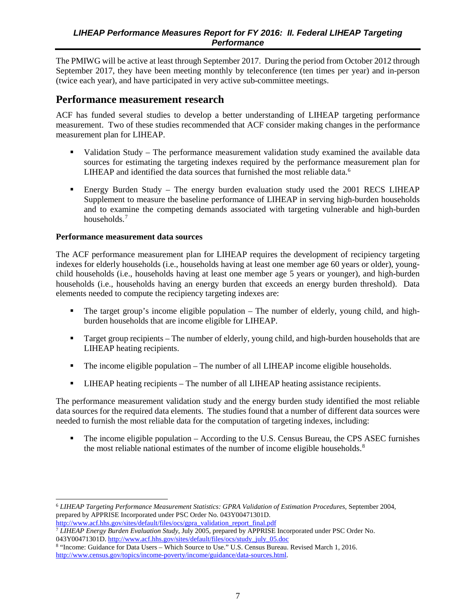<span id="page-14-0"></span>The PMIWG will be active at least through September 2017. During the period from October 2012 through September 2017, they have been meeting monthly by teleconference (ten times per year) and in-person (twice each year), and have participated in very active sub-committee meetings.

### **Performance measurement research**

ACF has funded several studies to develop a better understanding of LIHEAP targeting performance measurement. Two of these studies recommended that ACF consider making changes in the performance measurement plan for LIHEAP.

- Validation Study The performance measurement validation study examined the available data sources for estimating the targeting indexes required by the performance measurement plan for LIHEAP and identified the data sources that furnished the most reliable data.<sup>[6](#page-14-1)</sup>
- Energy Burden Study The energy burden evaluation study used the 2001 RECS LIHEAP Supplement to measure the baseline performance of LIHEAP in serving high-burden households and to examine the competing demands associated with targeting vulnerable and high-burden households.[7](#page-14-2)

#### **Performance measurement data sources**

The ACF performance measurement plan for LIHEAP requires the development of recipiency targeting indexes for elderly households (i.e., households having at least one member age 60 years or older), youngchild households (i.e., households having at least one member age 5 years or younger), and high-burden households (i.e., households having an energy burden that exceeds an energy burden threshold). Data elements needed to compute the recipiency targeting indexes are:

- The target group's income eligible population The number of elderly, young child, and highburden households that are income eligible for LIHEAP.
- Target group recipients The number of elderly, young child, and high-burden households that are LIHEAP heating recipients.
- The income eligible population The number of all LIHEAP income eligible households.
- LIHEAP heating recipients The number of all LIHEAP heating assistance recipients.

The performance measurement validation study and the energy burden study identified the most reliable data sources for the required data elements. The studies found that a number of different data sources were needed to furnish the most reliable data for the computation of targeting indexes, including:

 The income eligible population – According to the U.S. Census Bureau, the CPS ASEC furnishes the most reliable national estimates of the number of income eligible households.<sup>[8](#page-14-3)</sup>

<span id="page-14-1"></span><sup>6</sup> *LIHEAP Targeting Performance Measurement Statistics: GPRA Validation of Estimation Procedures*, September 2004, prepared by APPRISE Incorporated under PSC Order No. 043Y00471301D. [http://www.acf.hhs.gov/sites/default/files/ocs/gpra\\_validation\\_report\\_final.pdf](http://www.acf.hhs.gov/sites/default/files/ocs/gpra_validation_report_final.pdf)  $\overline{a}$ 

<span id="page-14-2"></span><sup>7</sup> *LIHEAP Energy Burden Evaluation Study*, July 2005, prepared by APPRISE Incorporated under PSC Order No. 043Y00471301D. [http://www.acf.hhs.gov/sites/default/files/ocs/study\\_july\\_05.doc](http://www.acf.hhs.gov/sites/default/files/ocs/study_july_05.doc)

<span id="page-14-3"></span><sup>8</sup> "Income: Guidance for Data Users – Which Source to Use." U.S. Census Bureau. Revised March 1, 2016. <http://www.census.gov/topics/income-poverty/income/guidance/data-sources.html>.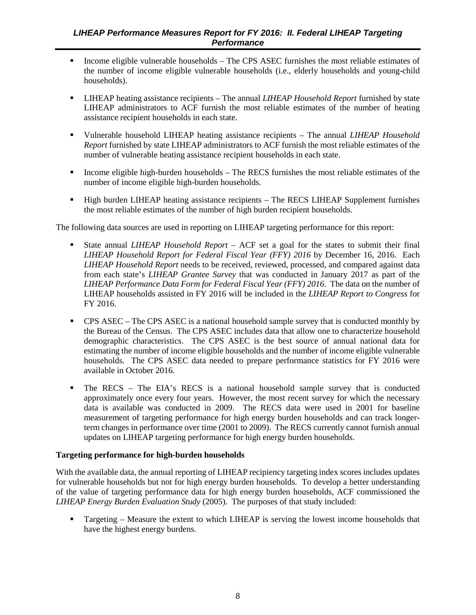- Income eligible vulnerable households The CPS ASEC furnishes the most reliable estimates of the number of income eligible vulnerable households (i.e., elderly households and young-child households).
- LIHEAP heating assistance recipients The annual *LIHEAP Household Report* furnished by state LIHEAP administrators to ACF furnish the most reliable estimates of the number of heating assistance recipient households in each state.
- Vulnerable household LIHEAP heating assistance recipients The annual *LIHEAP Household Report* furnished by state LIHEAP administrators to ACF furnish the most reliable estimates of the number of vulnerable heating assistance recipient households in each state.
- Income eligible high-burden households The RECS furnishes the most reliable estimates of the number of income eligible high-burden households.
- **High burden LIHEAP heating assistance recipients The RECS LIHEAP Supplement furnishes** the most reliable estimates of the number of high burden recipient households.

The following data sources are used in reporting on LIHEAP targeting performance for this report:

- State annual *LIHEAP Household Report* ACF set a goal for the states to submit their final *LIHEAP Household Report for Federal Fiscal Year (FFY) 2016* by December 16, 2016. Each *LIHEAP Household Report* needs to be received, reviewed, processed, and compared against data from each state's *LIHEAP Grantee Survey* that was conducted in January 2017 as part of the *LIHEAP Performance Data Form for Federal Fiscal Year (FFY) 2016*. The data on the number of LIHEAP households assisted in FY 2016 will be included in the *LIHEAP Report to Congress* for FY 2016.
- CPS ASEC The CPS ASEC is a national household sample survey that is conducted monthly by the Bureau of the Census. The CPS ASEC includes data that allow one to characterize household demographic characteristics. The CPS ASEC is the best source of annual national data for estimating the number of income eligible households and the number of income eligible vulnerable households. The CPS ASEC data needed to prepare performance statistics for FY 2016 were available in October 2016.
- The RECS The EIA's RECS is a national household sample survey that is conducted approximately once every four years. However, the most recent survey for which the necessary data is available was conducted in 2009. The RECS data were used in 2001 for baseline measurement of targeting performance for high energy burden households and can track longerterm changes in performance over time (2001 to 2009). The RECS currently cannot furnish annual updates on LIHEAP targeting performance for high energy burden households.

#### **Targeting performance for high-burden households**

With the available data, the annual reporting of LIHEAP recipiency targeting index scores includes updates for vulnerable households but not for high energy burden households. To develop a better understanding of the value of targeting performance data for high energy burden households, ACF commissioned the *LIHEAP Energy Burden Evaluation Study* (2005). The purposes of that study included:

**Targeting – Measure the extent to which LIHEAP is serving the lowest income households that** have the highest energy burdens.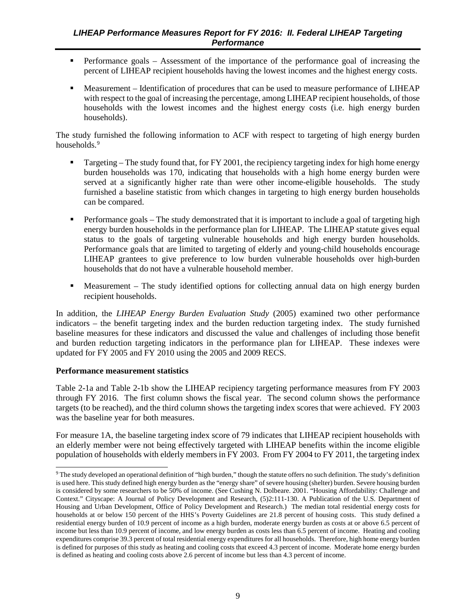- Performance goals Assessment of the importance of the performance goal of increasing the percent of LIHEAP recipient households having the lowest incomes and the highest energy costs.
- Measurement Identification of procedures that can be used to measure performance of LIHEAP with respect to the goal of increasing the percentage, among LIHEAP recipient households, of those households with the lowest incomes and the highest energy costs (i.e. high energy burden households).

The study furnished the following information to ACF with respect to targeting of high energy burden households.<sup>[9](#page-16-0)</sup>

- Targeting The study found that, for FY 2001, the recipiency targeting index for high home energy burden households was 170, indicating that households with a high home energy burden were served at a significantly higher rate than were other income-eligible households. The study furnished a baseline statistic from which changes in targeting to high energy burden households can be compared.
- Performance goals The study demonstrated that it is important to include a goal of targeting high energy burden households in the performance plan for LIHEAP. The LIHEAP statute gives equal status to the goals of targeting vulnerable households and high energy burden households. Performance goals that are limited to targeting of elderly and young-child households encourage LIHEAP grantees to give preference to low burden vulnerable households over high-burden households that do not have a vulnerable household member.
- Measurement The study identified options for collecting annual data on high energy burden recipient households.

In addition, the *LIHEAP Energy Burden Evaluation Study* (2005) examined two other performance indicators – the benefit targeting index and the burden reduction targeting index. The study furnished baseline measures for these indicators and discussed the value and challenges of including those benefit and burden reduction targeting indicators in the performance plan for LIHEAP. These indexes were updated for FY 2005 and FY 2010 using the 2005 and 2009 RECS.

#### **Performance measurement statistics**

 $\overline{a}$ 

Table 2-1a and Table 2-1b show the LIHEAP recipiency targeting performance measures from FY 2003 through FY 2016. The first column shows the fiscal year. The second column shows the performance targets (to be reached), and the third column shows the targeting index scores that were achieved. FY 2003 was the baseline year for both measures.

For measure 1A, the baseline targeting index score of 79 indicates that LIHEAP recipient households with an elderly member were not being effectively targeted with LIHEAP benefits within the income eligible population of households with elderly members in FY 2003. From FY 2004 to FY 2011, the targeting index

<span id="page-16-0"></span><sup>&</sup>lt;sup>9</sup> The study developed an operational definition of "high burden," though the statute offers no such definition. The study's definition is used here. This study defined high energy burden as the "energy share" of severe housing (shelter) burden. Severe housing burden is considered by some researchers to be 50% of income. (See Cushing N. Dolbeare. 2001. "Housing Affordability: Challenge and Context." Cityscape: A Journal of Policy Development and Research, (5)2:111-130. A Publication of the U.S. Department of Housing and Urban Development, Office of Policy Development and Research.) The median total residential energy costs for households at or below 150 percent of the HHS's Poverty Guidelines are 21.8 percent of housing costs. This study defined a residential energy burden of 10.9 percent of income as a high burden, moderate energy burden as costs at or above 6.5 percent of income but less than 10.9 percent of income, and low energy burden as costs less than 6.5 percent of income. Heating and cooling expenditures comprise 39.3 percent of total residential energy expenditures for all households. Therefore, high home energy burden is defined for purposes of this study as heating and cooling costs that exceed 4.3 percent of income. Moderate home energy burden is defined as heating and cooling costs above 2.6 percent of income but less than 4.3 percent of income.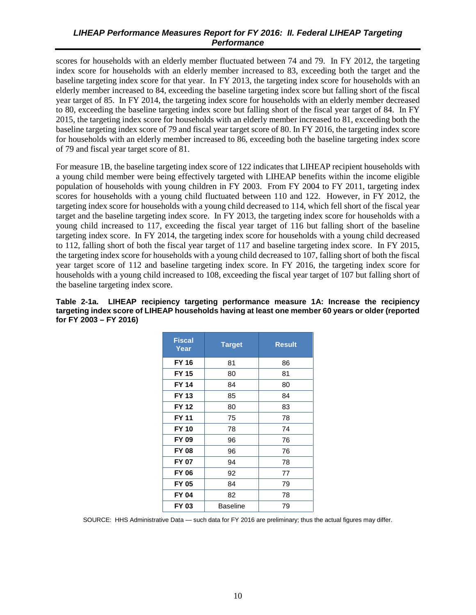<span id="page-17-0"></span>scores for households with an elderly member fluctuated between 74 and 79. In FY 2012, the targeting index score for households with an elderly member increased to 83, exceeding both the target and the baseline targeting index score for that year. In FY 2013, the targeting index score for households with an elderly member increased to 84, exceeding the baseline targeting index score but falling short of the fiscal year target of 85. In FY 2014, the targeting index score for households with an elderly member decreased to 80, exceeding the baseline targeting index score but falling short of the fiscal year target of 84. In FY 2015, the targeting index score for households with an elderly member increased to 81, exceeding both the baseline targeting index score of 79 and fiscal year target score of 80. In FY 2016, the targeting index score for households with an elderly member increased to 86, exceeding both the baseline targeting index score of 79 and fiscal year target score of 81.

For measure 1B, the baseline targeting index score of 122 indicates that LIHEAP recipient households with a young child member were being effectively targeted with LIHEAP benefits within the income eligible population of households with young children in FY 2003. From FY 2004 to FY 2011, targeting index scores for households with a young child fluctuated between 110 and 122. However, in FY 2012, the targeting index score for households with a young child decreased to 114, which fell short of the fiscal year target and the baseline targeting index score. In FY 2013, the targeting index score for households with a young child increased to 117, exceeding the fiscal year target of 116 but falling short of the baseline targeting index score. In FY 2014, the targeting index score for households with a young child decreased to 112, falling short of both the fiscal year target of 117 and baseline targeting index score. In FY 2015, the targeting index score for households with a young child decreased to 107, falling short of both the fiscal year target score of 112 and baseline targeting index score. In FY 2016, the targeting index score for households with a young child increased to 108, exceeding the fiscal year target of 107 but falling short of the baseline targeting index score.

#### **Table 2-1a. LIHEAP recipiency targeting performance measure 1A: Increase the recipiency targeting index score of LIHEAP households having at least one member 60 years or older (reported for FY 2003 – FY 2016)**

| <b>Fiscal</b><br>Year | <b>Target</b> | <b>Result</b> |
|-----------------------|---------------|---------------|
| FY 16                 | 81            | 86            |
| FY 15                 | 80            | 81            |
| FY 14                 | 84            | 80            |
| FY 13                 | 85            | 84            |
| FY 12                 | 80            | 83            |
| FY 11                 | 75            | 78            |
| <b>FY 10</b>          | 78            | 74            |
| FY 09                 | 96            | 76            |
| <b>FY 08</b>          | 96            | 76            |
| FY 07                 | 94            | 78            |
| FY 06                 | 92            | 77            |
| FY 05                 | 84            | 79            |
| FY 04                 | 82            | 78            |
| FY 03                 | Baseline      | 79            |

SOURCE: HHS Administrative Data — such data for FY 2016 are preliminary; thus the actual figures may differ.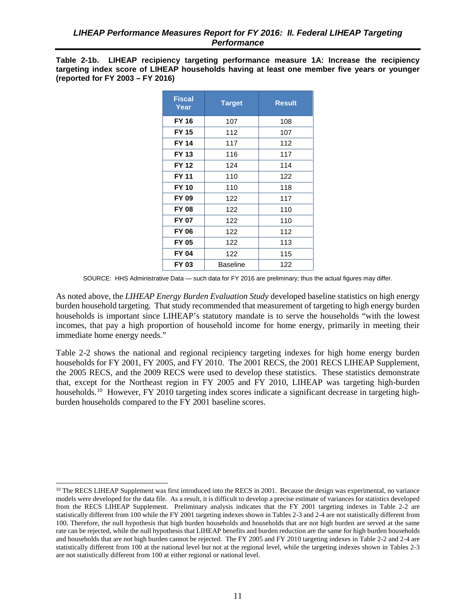<span id="page-18-0"></span>**Table 2-1b. LIHEAP recipiency targeting performance measure 1A: Increase the recipiency targeting index score of LIHEAP households having at least one member five years or younger (reported for FY 2003 – FY 2016)** 

| <b>Fiscal</b><br>Year | <b>Target</b> | <b>Result</b> |
|-----------------------|---------------|---------------|
| <b>FY 16</b>          | 107           | 108           |
| <b>FY 15</b>          | 112           | 107           |
| <b>FY 14</b>          | 117           | 112           |
| <b>FY 13</b>          | 116           | 117           |
| <b>FY 12</b>          | 124           | 114           |
| FY 11                 | 110           | 122           |
| <b>FY 10</b>          | 110           | 118           |
| FY 09                 | 122           | 117           |
| <b>FY 08</b>          | 122           | 110           |
| FY 07                 | 122           | 110           |
| <b>FY 06</b>          | 122           | 112           |
| <b>FY 05</b>          | 122           | 113           |
| <b>FY 04</b>          | 122           | 115           |
| FY 03                 | Baseline      | 122           |

SOURCE: HHS Administrative Data — such data for FY 2016 are preliminary; thus the actual figures may differ.

As noted above, the *LIHEAP Energy Burden Evaluation Study* developed baseline statistics on high energy burden household targeting. That study recommended that measurement of targeting to high energy burden households is important since LIHEAP's statutory mandate is to serve the households "with the lowest incomes, that pay a high proportion of household income for home energy, primarily in meeting their immediate home energy needs."

Table 2-2 shows the national and regional recipiency targeting indexes for high home energy burden households for FY 2001, FY 2005, and FY 2010. The 2001 RECS, the 2001 RECS LIHEAP Supplement, the 2005 RECS, and the 2009 RECS were used to develop these statistics. These statistics demonstrate that, except for the Northeast region in FY 2005 and FY 2010, LIHEAP was targeting high-burden households.<sup>[10](#page-18-1)</sup> However, FY 2010 targeting index scores indicate a significant decrease in targeting highburden households compared to the FY 2001 baseline scores.

 $\overline{a}$ 

<span id="page-18-1"></span><sup>&</sup>lt;sup>10</sup> The RECS LIHEAP Supplement was first introduced into the RECS in 2001. Because the design was experimental, no variance models were developed for the data file. As a result, it is difficult to develop a precise estimate of variances for statistics developed from the RECS LIHEAP Supplement. Preliminary analysis indicates that the FY 2001 targeting indexes in Table 2-2 are statistically different from 100 while the FY 2001 targeting indexes shown in Tables 2-3 and 2-4 are not statistically different from 100. Therefore, the null hypothesis that high burden households and households that are not high burden are served at the same rate can be rejected, while the null hypothesis that LIHEAP benefits and burden reduction are the same for high burden households and households that are not high burden cannot be rejected. The FY 2005 and FY 2010 targeting indexes in Table 2-2 and 2-4 are statistically different from 100 at the national level but not at the regional level, while the targeting indexes shown in Tables 2-3 are not statistically different from 100 at either regional or national level.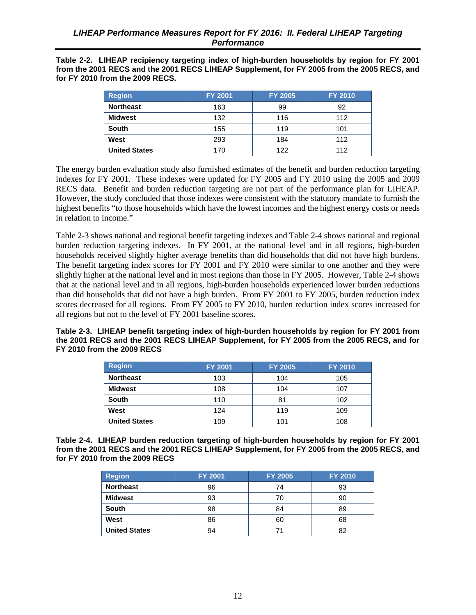<span id="page-19-0"></span>**Table 2-2. LIHEAP recipiency targeting index of high-burden households by region for FY 2001 from the 2001 RECS and the 2001 RECS LIHEAP Supplement, for FY 2005 from the 2005 RECS, and for FY 2010 from the 2009 RECS.** 

| <b>Region</b>        | <b>FY 2001</b> | <b>FY 2005</b> | <b>FY 2010</b> |
|----------------------|----------------|----------------|----------------|
| <b>Northeast</b>     | 163            | 99             | 92             |
| Midwest              | 132            | 116            | 112            |
| <b>South</b>         | 155            | 119            | 101            |
| West                 | 293            | 184            | 112            |
| <b>United States</b> | 170            | 122            | 112            |

The energy burden evaluation study also furnished estimates of the benefit and burden reduction targeting indexes for FY 2001. These indexes were updated for FY 2005 and FY 2010 using the 2005 and 2009 RECS data. Benefit and burden reduction targeting are not part of the performance plan for LIHEAP. However, the study concluded that those indexes were consistent with the statutory mandate to furnish the highest benefits "to those households which have the lowest incomes and the highest energy costs or needs in relation to income."

Table 2-3 shows national and regional benefit targeting indexes and Table 2-4 shows national and regional burden reduction targeting indexes. In FY 2001, at the national level and in all regions, high-burden households received slightly higher average benefits than did households that did not have high burdens. The benefit targeting index scores for FY 2001 and FY 2010 were similar to one another and they were slightly higher at the national level and in most regions than those in FY 2005. However, Table 2-4 shows that at the national level and in all regions, high-burden households experienced lower burden reductions than did households that did not have a high burden. From FY 2001 to FY 2005, burden reduction index scores decreased for all regions. From FY 2005 to FY 2010, burden reduction index scores increased for all regions but not to the level of FY 2001 baseline scores.

**Table 2-3. LIHEAP benefit targeting index of high-burden households by region for FY 2001 from the 2001 RECS and the 2001 RECS LIHEAP Supplement, for FY 2005 from the 2005 RECS, and for FY 2010 from the 2009 RECS** 

| <b>Region</b>        | <b>FY 2001</b> | <b>FY 2005</b> | <b>FY 2010</b> |
|----------------------|----------------|----------------|----------------|
| <b>Northeast</b>     | 103            | 104            | 105            |
| <b>Midwest</b>       | 108            | 104            | 107            |
| <b>South</b>         | 110            | 81             | 102            |
| West                 | 124            | 119            | 109            |
| <b>United States</b> | 109            | 101            | 108            |

**Table 2-4. LIHEAP burden reduction targeting of high-burden households by region for FY 2001 from the 2001 RECS and the 2001 RECS LIHEAP Supplement, for FY 2005 from the 2005 RECS, and for FY 2010 from the 2009 RECS** 

| <b>Region</b>        | <b>FY 2001</b> | <b>FY 2005</b> | <b>FY 2010</b> |
|----------------------|----------------|----------------|----------------|
| <b>Northeast</b>     | 96             | 74             | 93             |
| <b>Midwest</b>       | 93             | 70             | 90             |
| <b>South</b>         | 98             | 84             | 89             |
| West                 | 86             | 60             | 68             |
| <b>United States</b> | 94             |                | 82             |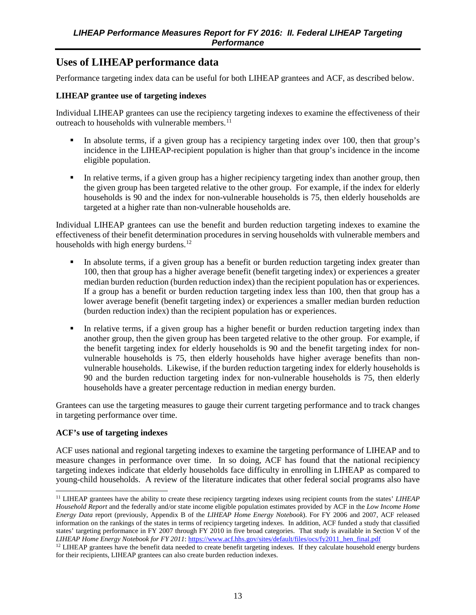### <span id="page-20-0"></span>**Uses of LIHEAP performance data**

Performance targeting index data can be useful for both LIHEAP grantees and ACF, as described below.

#### **LIHEAP grantee use of targeting indexes**

Individual LIHEAP grantees can use the recipiency targeting indexes to examine the effectiveness of their outreach to households with vulnerable members. $^{11}$  $^{11}$  $^{11}$ 

- In absolute terms, if a given group has a recipiency targeting index over 100, then that group's incidence in the LIHEAP-recipient population is higher than that group's incidence in the income eligible population.
- In relative terms, if a given group has a higher recipiency targeting index than another group, then the given group has been targeted relative to the other group. For example, if the index for elderly households is 90 and the index for non-vulnerable households is 75, then elderly households are targeted at a higher rate than non-vulnerable households are.

Individual LIHEAP grantees can use the benefit and burden reduction targeting indexes to examine the effectiveness of their benefit determination procedures in serving households with vulnerable members and households with high energy burdens.<sup>[12](#page-20-2)</sup>

- In absolute terms, if a given group has a benefit or burden reduction targeting index greater than 100, then that group has a higher average benefit (benefit targeting index) or experiences a greater median burden reduction (burden reduction index) than the recipient population has or experiences. If a group has a benefit or burden reduction targeting index less than 100, then that group has a lower average benefit (benefit targeting index) or experiences a smaller median burden reduction (burden reduction index) than the recipient population has or experiences.
- In relative terms, if a given group has a higher benefit or burden reduction targeting index than another group, then the given group has been targeted relative to the other group. For example, if the benefit targeting index for elderly households is 90 and the benefit targeting index for nonvulnerable households is 75, then elderly households have higher average benefits than nonvulnerable households. Likewise, if the burden reduction targeting index for elderly households is 90 and the burden reduction targeting index for non-vulnerable households is 75, then elderly households have a greater percentage reduction in median energy burden.

Grantees can use the targeting measures to gauge their current targeting performance and to track changes in targeting performance over time.

#### **ACF's use of targeting indexes**

ACF uses national and regional targeting indexes to examine the targeting performance of LIHEAP and to measure changes in performance over time. In so doing, ACF has found that the national recipiency targeting indexes indicate that elderly households face difficulty in enrolling in LIHEAP as compared to young-child households. A review of the literature indicates that other federal social programs also have

<span id="page-20-1"></span><sup>11</sup> LIHEAP grantees have the ability to create these recipiency targeting indexes using recipient counts from the states' *LIHEAP Household Report* and the federally and/or state income eligible population estimates provided by ACF in the *Low Income Home Energy Data* report (previously, Appendix B of the *LIHEAP Home Energy Notebook*). For FY 2006 and 2007, ACF released information on the rankings of the states in terms of recipiency targeting indexes. In addition, ACF funded a study that classified states' targeting performance in FY 2007 through FY 2010 in five broad categories. That study is available in Section V of the *LIHEAP Home Energy Notebook for FY 2011*[: https://www.acf.hhs.gov/sites/default/files/ocs/fy2011\\_hen\\_final.pdf](https://www.acf.hhs.gov/sites/default/files/ocs/fy2011_hen_final.pdf)  $\overline{a}$ 

<span id="page-20-2"></span><sup>&</sup>lt;sup>12</sup> LIHEAP grantees have the benefit data needed to create benefit targeting indexes. If they calculate household energy burdens for their recipients, LIHEAP grantees can also create burden reduction indexes.